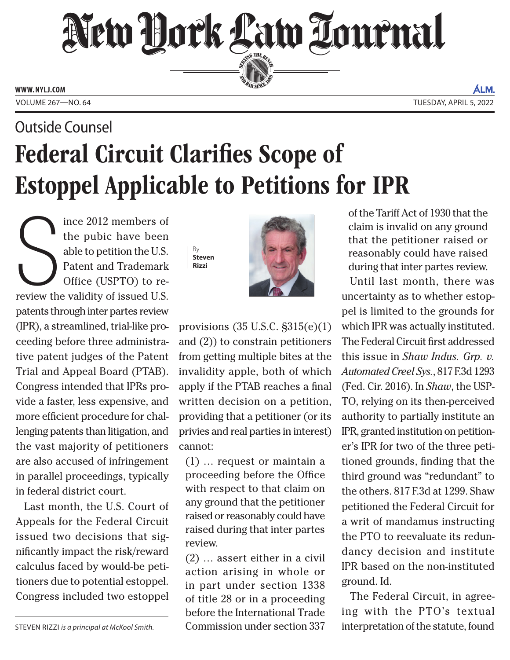## New Hork Law Lournal SERVING THE BEA **ED BAR SINCE 188**

**www. NYLJ.com**

ALM. Volume 267—NO. 64 Tuesday, April 5, 2022

## Federal Circuit Clarifies Scope of Estoppel Applicable to Petitions for IPR Outside Counsel

The pubic have been<br>able to petition the U.S.<br>Patent and Trademark<br>Office (USPTO) to re-<br>review the validity of issued U.S. ince 2012 members of the pubic have been able to petition the U.S. Patent and Trademark Office (USPTO) to repatents through inter partes review (IPR), a streamlined, trial-like proceeding before three administrative patent judges of the Patent Trial and Appeal Board (PTAB). Congress intended that IPRs provide a faster, less expensive, and more efficient procedure for challenging patents than litigation, and the vast majority of petitioners are also accused of infringement in parallel proceedings, typically in federal district court.

Last month, the U.S. Court of Appeals for the Federal Circuit issued two decisions that significantly impact the risk/reward calculus faced by would-be petitioners due to potential estoppel. Congress included two estoppel

By **Steven Rizzi**



provisions (35 U.S.C. §315(e)(1) and (2)) to constrain petitioners from getting multiple bites at the invalidity apple, both of which apply if the PTAB reaches a final written decision on a petition, providing that a petitioner (or its privies and real parties in interest) cannot:

(1) … request or maintain a proceeding before the Office with respect to that claim on any ground that the petitioner raised or reasonably could have raised during that inter partes review.

(2) … assert either in a civil action arising in whole or in part under section 1338 of title 28 or in a proceeding before the International Trade Commission under section 337

of the Tariff Act of 1930 that the claim is invalid on any ground that the petitioner raised or reasonably could have raised during that inter partes review.

Until last month, there was uncertainty as to whether estoppel is limited to the grounds for which IPR was actually instituted. The Federal Circuit first addressed this issue in *Shaw Indus. Grp. v. Automated Creel Sys.*, 817 F.3d 1293 (Fed. Cir. 2016). In *Shaw*, the USP-TO, relying on its then-perceived authority to partially institute an IPR, granted institution on petitioner's IPR for two of the three petitioned grounds, finding that the third ground was "redundant" to the others. 817 F.3d at 1299. Shaw petitioned the Federal Circuit for a writ of mandamus instructing the PTO to reevaluate its redundancy decision and institute IPR based on the non-instituted ground. Id.

The Federal Circuit, in agreeing with the PTO's textual interpretation of the statute, found

Steven Rizzi *is a principal at McKool Smith.*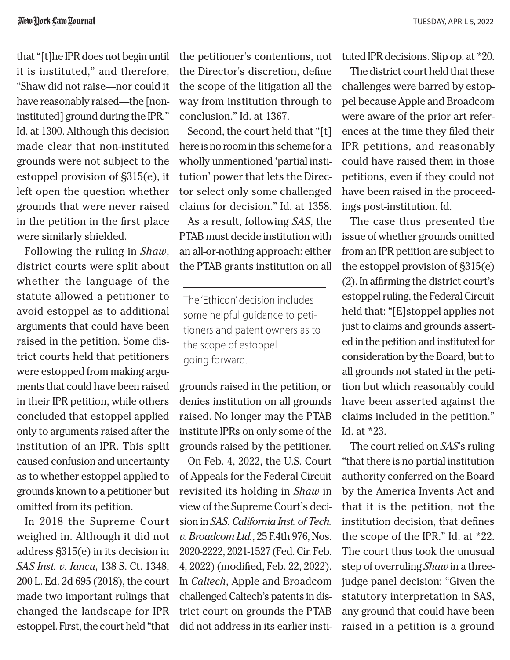that "[t]he IPR does not begin until it is instituted," and therefore, "Shaw did not raise—nor could it have reasonably raised—the [noninstituted] ground during the IPR." Id. at 1300. Although this decision made clear that non-instituted grounds were not subject to the estoppel provision of §315(e), it left open the question whether grounds that were never raised in the petition in the first place were similarly shielded.

Following the ruling in *Shaw*, district courts were split about whether the language of the statute allowed a petitioner to avoid estoppel as to additional arguments that could have been raised in the petition. Some district courts held that petitioners were estopped from making arguments that could have been raised in their IPR petition, while others concluded that estoppel applied only to arguments raised after the institution of an IPR. This split caused confusion and uncertainty as to whether estoppel applied to grounds known to a petitioner but omitted from its petition.

In 2018 the Supreme Court weighed in. Although it did not address §315(e) in its decision in *SAS Inst. v. Iancu*, 138 S. Ct. 1348, 200 L. Ed. 2d 695 (2018), the court made two important rulings that changed the landscape for IPR estoppel. First, the court held "that the petitioner's contentions, not the Director's discretion, define the scope of the litigation all the way from institution through to conclusion." Id. at 1367.

Second, the court held that "[t] here is no room in this scheme for a wholly unmentioned 'partial institution' power that lets the Director select only some challenged claims for decision." Id. at 1358.

As a result, following *SAS*, the PTAB must decide institution with an all-or-nothing approach: either the PTAB grants institution on all

The 'Ethicon' decision includes some helpful guidance to petitioners and patent owners as to the scope of estoppel going forward.

grounds raised in the petition, or denies institution on all grounds raised. No longer may the PTAB institute IPRs on only some of the grounds raised by the petitioner.

On Feb. 4, 2022, the U.S. Court of Appeals for the Federal Circuit revisited its holding in *Shaw* in view of the Supreme Court's decision in *SAS. California Inst. of Tech. v. Broadcom Ltd.*, 25 F.4th 976, Nos. 2020-2222, 2021-1527 (Fed. Cir. Feb. 4, 2022) (modified, Feb. 22, 2022). In *Caltech*, Apple and Broadcom challenged Caltech's patents in district court on grounds the PTAB did not address in its earlier instituted IPR decisions. Slip op. at \*20.

The district court held that these challenges were barred by estoppel because Apple and Broadcom were aware of the prior art references at the time they filed their IPR petitions, and reasonably could have raised them in those petitions, even if they could not have been raised in the proceedings post-institution. Id.

The case thus presented the issue of whether grounds omitted from an IPR petition are subject to the estoppel provision of §315(e) (2). In affirming the district court's estoppel ruling, the Federal Circuit held that: "[E]stoppel applies not just to claims and grounds asserted in the petition and instituted for consideration by the Board, but to all grounds not stated in the petition but which reasonably could have been asserted against the claims included in the petition." Id. at \*23.

The court relied on *SAS*'s ruling "that there is no partial institution authority conferred on the Board by the America Invents Act and that it is the petition, not the institution decision, that defines the scope of the IPR." Id. at \*22. The court thus took the unusual step of overruling *Shaw* in a threejudge panel decision: "Given the statutory interpretation in SAS, any ground that could have been raised in a petition is a ground